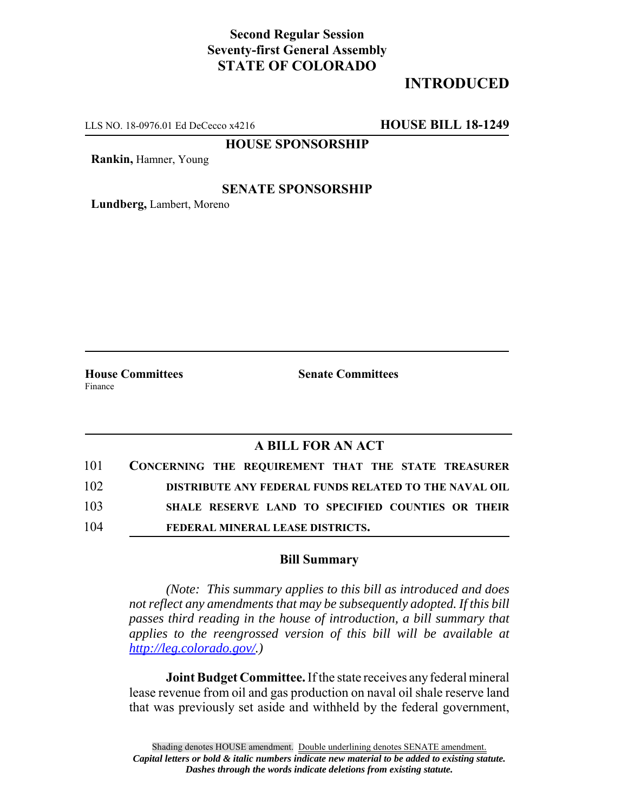## **Second Regular Session Seventy-first General Assembly STATE OF COLORADO**

# **INTRODUCED**

LLS NO. 18-0976.01 Ed DeCecco x4216 **HOUSE BILL 18-1249**

**HOUSE SPONSORSHIP**

**Rankin,** Hamner, Young

### **SENATE SPONSORSHIP**

**Lundberg,** Lambert, Moreno

Finance

**House Committees Senate Committees** 

### **A BILL FOR AN ACT**

| 101 | CONCERNING THE REQUIREMENT THAT THE STATE TREASURER          |
|-----|--------------------------------------------------------------|
| 102 | <b>DISTRIBUTE ANY FEDERAL FUNDS RELATED TO THE NAVAL OIL</b> |
| 103 | SHALE RESERVE LAND TO SPECIFIED COUNTIES OR THEIR            |
| 104 | FEDERAL MINERAL LEASE DISTRICTS.                             |

#### **Bill Summary**

*(Note: This summary applies to this bill as introduced and does not reflect any amendments that may be subsequently adopted. If this bill passes third reading in the house of introduction, a bill summary that applies to the reengrossed version of this bill will be available at http://leg.colorado.gov/.)*

**Joint Budget Committee.** If the state receives any federal mineral lease revenue from oil and gas production on naval oil shale reserve land that was previously set aside and withheld by the federal government,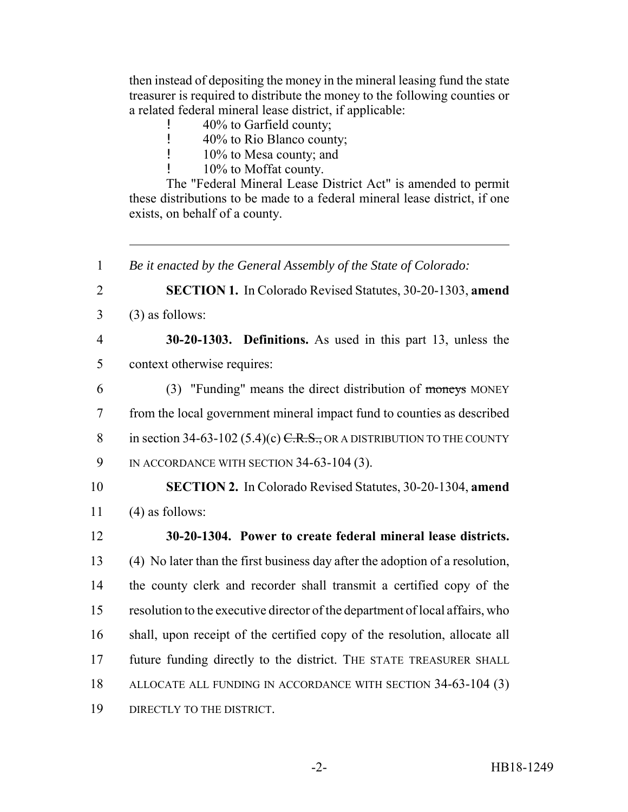then instead of depositing the money in the mineral leasing fund the state treasurer is required to distribute the money to the following counties or a related federal mineral lease district, if applicable:

- ! 40% to Garfield county;<br>! 40% to Rio Blanco coun
- ! 40% to Rio Blanco county;<br>
10% to Mesa county: and
- ! 10% to Mesa county; and
- ! 10% to Moffat county.

The "Federal Mineral Lease District Act" is amended to permit these distributions to be made to a federal mineral lease district, if one exists, on behalf of a county.

| Be it enacted by the General Assembly of the State of Colorado:              |
|------------------------------------------------------------------------------|
| <b>SECTION 1.</b> In Colorado Revised Statutes, 30-20-1303, amend            |
| $(3)$ as follows:                                                            |
| 30-20-1303. Definitions. As used in this part 13, unless the                 |
| context otherwise requires:                                                  |
| (3) "Funding" means the direct distribution of moneys MONEY                  |
| from the local government mineral impact fund to counties as described       |
| in section 34-63-102 $(5.4)(c)$ C.R.S., OR A DISTRIBUTION TO THE COUNTY      |
| IN ACCORDANCE WITH SECTION 34-63-104 (3).                                    |
| SECTION 2. In Colorado Revised Statutes, 30-20-1304, amend                   |
| $(4)$ as follows:                                                            |
| 30-20-1304. Power to create federal mineral lease districts.                 |
| (4) No later than the first business day after the adoption of a resolution, |
| the county clerk and recorder shall transmit a certified copy of the         |
| resolution to the executive director of the department of local affairs, who |
| shall, upon receipt of the certified copy of the resolution, allocate all    |
| future funding directly to the district. THE STATE TREASURER SHALL           |
| ALLOCATE ALL FUNDING IN ACCORDANCE WITH SECTION 34-63-104 (3)                |
| DIRECTLY TO THE DISTRICT.                                                    |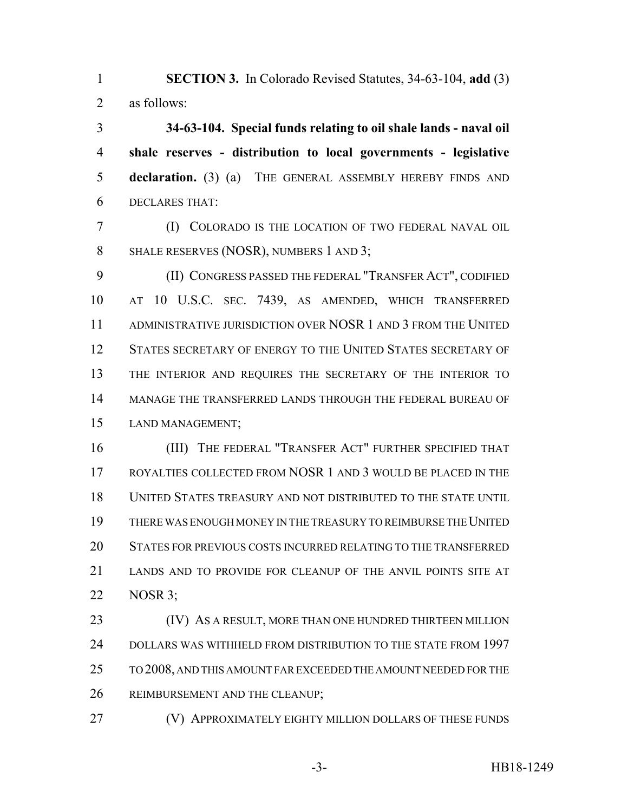**SECTION 3.** In Colorado Revised Statutes, 34-63-104, **add** (3) as follows:

 **34-63-104. Special funds relating to oil shale lands - naval oil shale reserves - distribution to local governments - legislative declaration.** (3) (a) THE GENERAL ASSEMBLY HEREBY FINDS AND DECLARES THAT:

 (I) COLORADO IS THE LOCATION OF TWO FEDERAL NAVAL OIL 8 SHALE RESERVES (NOSR), NUMBERS 1 AND 3;

 (II) CONGRESS PASSED THE FEDERAL "TRANSFER ACT", CODIFIED AT 10 U.S.C. SEC. 7439, AS AMENDED, WHICH TRANSFERRED ADMINISTRATIVE JURISDICTION OVER NOSR 1 AND 3 FROM THE UNITED STATES SECRETARY OF ENERGY TO THE UNITED STATES SECRETARY OF 13 THE INTERIOR AND REQUIRES THE SECRETARY OF THE INTERIOR TO MANAGE THE TRANSFERRED LANDS THROUGH THE FEDERAL BUREAU OF LAND MANAGEMENT;

 (III) THE FEDERAL "TRANSFER ACT" FURTHER SPECIFIED THAT ROYALTIES COLLECTED FROM NOSR 1 AND 3 WOULD BE PLACED IN THE UNITED STATES TREASURY AND NOT DISTRIBUTED TO THE STATE UNTIL THERE WAS ENOUGH MONEY IN THE TREASURY TO REIMBURSE THE UNITED STATES FOR PREVIOUS COSTS INCURRED RELATING TO THE TRANSFERRED LANDS AND TO PROVIDE FOR CLEANUP OF THE ANVIL POINTS SITE AT NOSR 3;

**(IV)** AS A RESULT, MORE THAN ONE HUNDRED THIRTEEN MILLION DOLLARS WAS WITHHELD FROM DISTRIBUTION TO THE STATE FROM 1997 TO 2008, AND THIS AMOUNT FAR EXCEEDED THE AMOUNT NEEDED FOR THE REIMBURSEMENT AND THE CLEANUP;

**(V) APPROXIMATELY EIGHTY MILLION DOLLARS OF THESE FUNDS**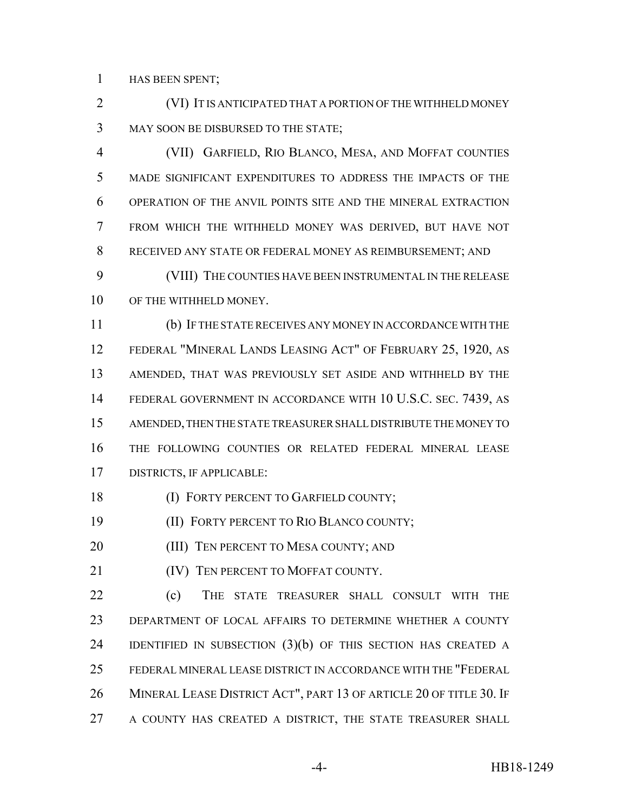HAS BEEN SPENT;

 (VI) IT IS ANTICIPATED THAT A PORTION OF THE WITHHELD MONEY MAY SOON BE DISBURSED TO THE STATE;

 (VII) GARFIELD, RIO BLANCO, MESA, AND MOFFAT COUNTIES MADE SIGNIFICANT EXPENDITURES TO ADDRESS THE IMPACTS OF THE OPERATION OF THE ANVIL POINTS SITE AND THE MINERAL EXTRACTION FROM WHICH THE WITHHELD MONEY WAS DERIVED, BUT HAVE NOT RECEIVED ANY STATE OR FEDERAL MONEY AS REIMBURSEMENT; AND

 (VIII) THE COUNTIES HAVE BEEN INSTRUMENTAL IN THE RELEASE 10 OF THE WITHHELD MONEY.

 (b) IF THE STATE RECEIVES ANY MONEY IN ACCORDANCE WITH THE FEDERAL "MINERAL LANDS LEASING ACT" OF FEBRUARY 25, 1920, AS AMENDED, THAT WAS PREVIOUSLY SET ASIDE AND WITHHELD BY THE FEDERAL GOVERNMENT IN ACCORDANCE WITH 10 U.S.C. SEC. 7439, AS AMENDED, THEN THE STATE TREASURER SHALL DISTRIBUTE THE MONEY TO THE FOLLOWING COUNTIES OR RELATED FEDERAL MINERAL LEASE DISTRICTS, IF APPLICABLE:

18 (I) FORTY PERCENT TO GARFIELD COUNTY;

(II) FORTY PERCENT TO RIO BLANCO COUNTY;

**(III) TEN PERCENT TO MESA COUNTY; AND** 

**(IV) TEN PERCENT TO MOFFAT COUNTY.** 

 (c) THE STATE TREASURER SHALL CONSULT WITH THE DEPARTMENT OF LOCAL AFFAIRS TO DETERMINE WHETHER A COUNTY IDENTIFIED IN SUBSECTION (3)(b) OF THIS SECTION HAS CREATED A FEDERAL MINERAL LEASE DISTRICT IN ACCORDANCE WITH THE "FEDERAL MINERAL LEASE DISTRICT ACT", PART 13 OF ARTICLE 20 OF TITLE 30. IF 27 A COUNTY HAS CREATED A DISTRICT, THE STATE TREASURER SHALL